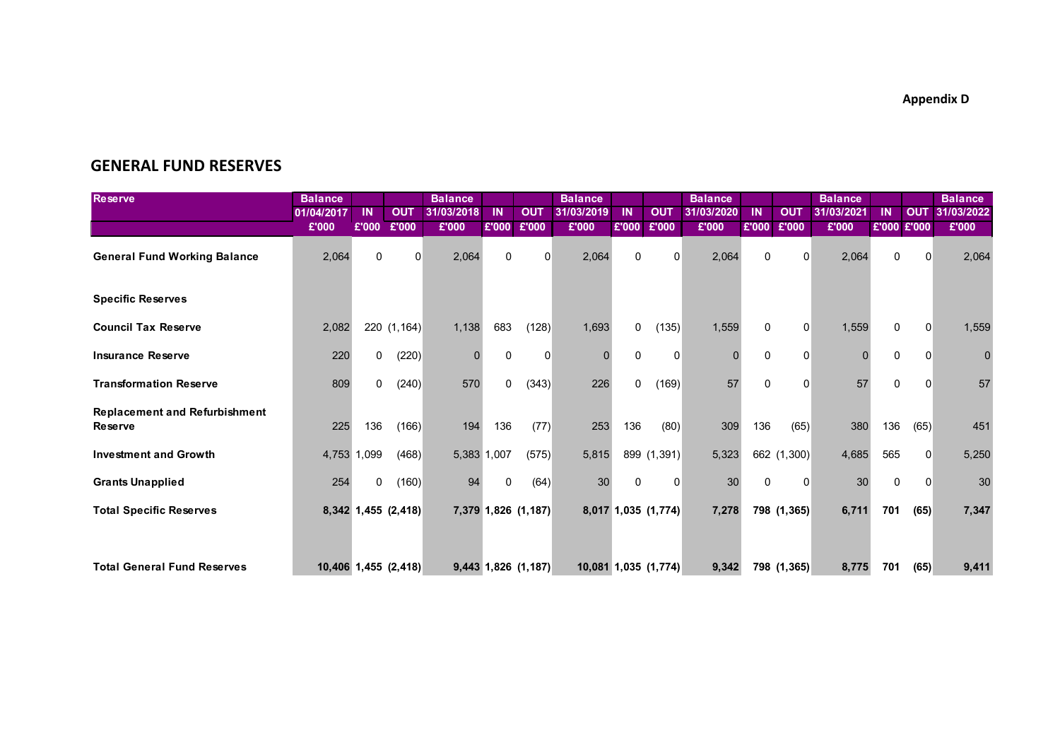**Appendix D**

## **GENERAL FUND RESERVES**

| <b>Reserve</b>                                         | <b>Balance</b> |              |                      | <b>Balance</b> |             |                       | <b>Balance</b> |          |                      | <b>Balance</b> |          |             | <b>Balance</b> |              |            | <b>Balance</b> |
|--------------------------------------------------------|----------------|--------------|----------------------|----------------|-------------|-----------------------|----------------|----------|----------------------|----------------|----------|-------------|----------------|--------------|------------|----------------|
|                                                        | 01/04/2017     | <b>IN</b>    | <b>OUT</b>           | 31/03/2018     | ΙN          | <b>OUT</b>            | 31/03/2019     | IN       | <b>OUT</b>           | 31/03/2020     | ΙN       | <b>OUT</b>  | 31/03/2021     | ΙN           | <b>OUT</b> | 31/03/2022     |
|                                                        | £'000          | £'000        | £'000                | £'000          | £'000       | £'000                 | £'000          | £'000    | £'000                | £'000          | £'000    | £'000       | £'000          | £'000 £'000  |            | £'000          |
| <b>General Fund Working Balance</b>                    | 2,064          | $\Omega$     | $\Omega$             | 2,064          | $\Omega$    |                       | 2,064          | $\Omega$ | $\Omega$             | 2,064          | $\Omega$ | O           | 2,064          | $\Omega$     | $\Omega$   | 2,064          |
| <b>Specific Reserves</b>                               |                |              |                      |                |             |                       |                |          |                      |                |          |             |                |              |            |                |
| <b>Council Tax Reserve</b>                             | 2,082          |              | 220 (1,164)          | 1,138          | 683         | (128)                 | 1,693          | 0        | (135)                | 1,559          | 0        | 0           | 1,559          | 0            | 0          | 1,559          |
| <b>Insurance Reserve</b>                               | 220            | $\Omega$     | (220)                | 0              | $\Omega$    | 0                     | $\Omega$       | $\Omega$ | $\Omega$             | n              | 0        | 0           | $\Omega$       | $\Omega$     | $\Omega$   | $\Omega$       |
| <b>Transformation Reserve</b>                          | 809            | $\mathbf{0}$ | (240)                | 570            | 0           | (343)                 | 226            | 0        | (169)                | 57             | 0        | $\Omega$    | 57             | 0            | 0          | 57             |
| <b>Replacement and Refurbishment</b><br><b>Reserve</b> | 225            | 136          | (166)                | 194            | 136         | (77)                  | 253            | 136      | (80)                 | 309            | 136      | (65)        | 380            | 136          | (65)       | 451            |
| <b>Investment and Growth</b>                           |                | 4,753 1,099  | (468)                |                | 5,383 1,007 | (575)                 | 5,815          |          | 899 (1,391)          | 5,323          |          | 662 (1,300) | 4,685          | 565          | $\Omega$   | 5,250          |
| <b>Grants Unapplied</b>                                | 254            | 0            | (160)                | 94             | $\Omega$    | (64)                  | 30             | $\Omega$ | 0                    | 30             | 0        | 0           | 30             | $\mathbf{0}$ | $\Omega$   | 30             |
| <b>Total Specific Reserves</b>                         |                |              | 8,342 1,455 (2,418)  |                |             | 7,379 1,826 (1,187)   |                |          | 8,017 1,035 (1,774)  | 7,278          |          | 798 (1,365) | 6,711          | 701          | (65)       | 7,347          |
| <b>Total General Fund Reserves</b>                     |                |              | 10,406 1,455 (2,418) |                |             | $9,443$ 1,826 (1,187) |                |          | 10,081 1,035 (1,774) | 9,342          |          | 798 (1,365) | 8,775          | 701          | (65)       | 9,411          |